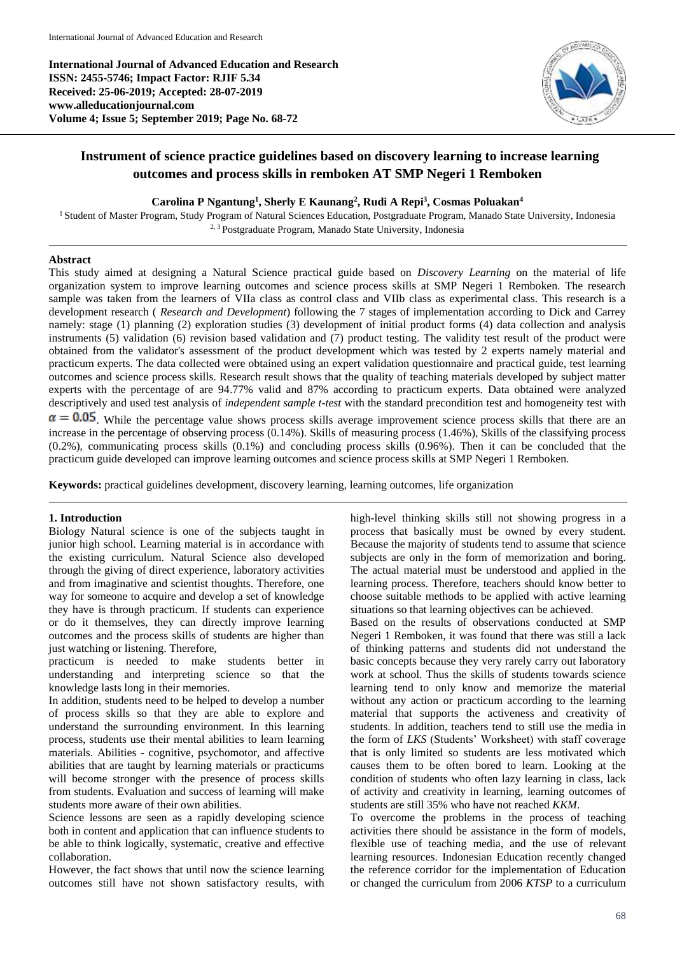**International Journal of Advanced Education and Research ISSN: 2455-5746; Impact Factor: RJIF 5.34 Received: 25-06-2019; Accepted: 28-07-2019 www.alleducationjournal.com Volume 4; Issue 5; September 2019; Page No. 68-72**



# **Instrument of science practice guidelines based on discovery learning to increase learning outcomes and process skills in remboken AT SMP Negeri 1 Remboken**

## **Carolina P Ngantung<sup>1</sup> , Sherly E Kaunang<sup>2</sup> , Rudi A Repi<sup>3</sup> , Cosmas Poluakan<sup>4</sup>**

<sup>1</sup> Student of Master Program, Study Program of Natural Sciences Education, Postgraduate Program, Manado State University, Indonesia 2, 3 Postgraduate Program, Manado State University, Indonesia

## **Abstract**

This study aimed at designing a Natural Science practical guide based on *Discovery Learning* on the material of life organization system to improve learning outcomes and science process skills at SMP Negeri 1 Remboken. The research sample was taken from the learners of VIIa class as control class and VIIb class as experimental class. This research is a development research ( *Research and Development*) following the 7 stages of implementation according to Dick and Carrey namely: stage (1) planning (2) exploration studies (3) development of initial product forms (4) data collection and analysis instruments (5) validation (6) revision based validation and (7) product testing. The validity test result of the product were obtained from the validator's assessment of the product development which was tested by 2 experts namely material and practicum experts. The data collected were obtained using an expert validation questionnaire and practical guide, test learning outcomes and science process skills. Research result shows that the quality of teaching materials developed by subject matter experts with the percentage of are 94.77% valid and 87% according to practicum experts. Data obtained were analyzed descriptively and used test analysis of *independent sample t-test* with the standard precondition test and homogeneity test with  $\alpha$  = 0.05. While the percentage value shows process skills average improvement science process skills that there are an increase in the percentage of observing process (0.14%). Skills of measuring process (1.46%), Skills of the classifying process (0.2%), communicating process skills (0.1%) and concluding process skills (0.96%). Then it can be concluded that the

**Keywords:** practical guidelines development, discovery learning, learning outcomes, life organization

practicum guide developed can improve learning outcomes and science process skills at SMP Negeri 1 Remboken.

# **1. Introduction**

Biology Natural science is one of the subjects taught in junior high school. Learning material is in accordance with the existing curriculum. Natural Science also developed through the giving of direct experience, laboratory activities and from imaginative and scientist thoughts. Therefore, one way for someone to acquire and develop a set of knowledge they have is through practicum. If students can experience or do it themselves, they can directly improve learning outcomes and the process skills of students are higher than just watching or listening. Therefore,

practicum is needed to make students better in understanding and interpreting science so that the knowledge lasts long in their memories.

In addition, students need to be helped to develop a number of process skills so that they are able to explore and understand the surrounding environment. In this learning process, students use their mental abilities to learn learning materials. Abilities - cognitive, psychomotor, and affective abilities that are taught by learning materials or practicums will become stronger with the presence of process skills from students. Evaluation and success of learning will make students more aware of their own abilities.

Science lessons are seen as a rapidly developing science both in content and application that can influence students to be able to think logically, systematic, creative and effective collaboration.

However, the fact shows that until now the science learning outcomes still have not shown satisfactory results, with

high-level thinking skills still not showing progress in a process that basically must be owned by every student. Because the majority of students tend to assume that science subjects are only in the form of memorization and boring. The actual material must be understood and applied in the learning process. Therefore, teachers should know better to choose suitable methods to be applied with active learning situations so that learning objectives can be achieved.

Based on the results of observations conducted at SMP Negeri 1 Remboken, it was found that there was still a lack of thinking patterns and students did not understand the basic concepts because they very rarely carry out laboratory work at school. Thus the skills of students towards science learning tend to only know and memorize the material without any action or practicum according to the learning material that supports the activeness and creativity of students. In addition, teachers tend to still use the media in the form of *LKS* (Students' Worksheet) with staff coverage that is only limited so students are less motivated which causes them to be often bored to learn. Looking at the condition of students who often lazy learning in class, lack of activity and creativity in learning, learning outcomes of students are still 35% who have not reached *KKM*.

To overcome the problems in the process of teaching activities there should be assistance in the form of models, flexible use of teaching media, and the use of relevant learning resources. Indonesian Education recently changed the reference corridor for the implementation of Education or changed the curriculum from 2006 *KTSP* to a curriculum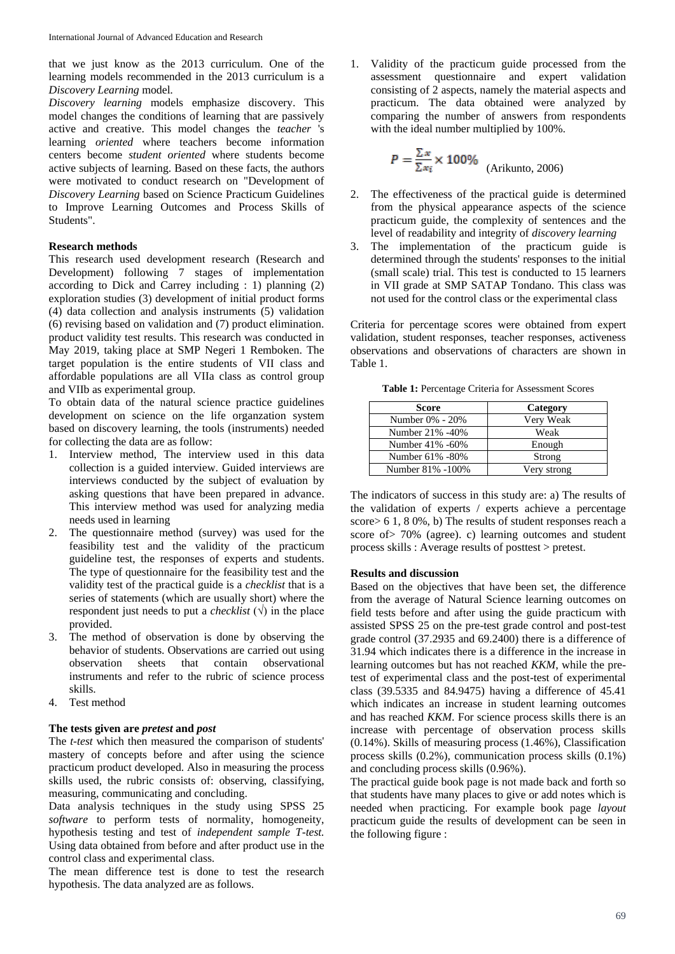that we just know as the 2013 curriculum. One of the learning models recommended in the 2013 curriculum is a *Discovery Learning* model*.*

*Discovery learning* models emphasize discovery. This model changes the conditions of learning that are passively active and creative. This model changes the *teacher* 's learning *oriented* where teachers become information centers become *student oriented* where students become active subjects of learning. Based on these facts, the authors were motivated to conduct research on "Development of *Discovery Learning* based on Science Practicum Guidelines to Improve Learning Outcomes and Process Skills of Students".

## **Research methods**

This research used development research (Research and Development) following 7 stages of implementation according to Dick and Carrey including : 1) planning (2) exploration studies (3) development of initial product forms (4) data collection and analysis instruments (5) validation (6) revising based on validation and (7) product elimination. product validity test results. This research was conducted in May 2019, taking place at SMP Negeri 1 Remboken. The target population is the entire students of VII class and affordable populations are all VIIa class as control group and VIIb as experimental group.

To obtain data of the natural science practice guidelines development on science on the life organzation system based on discovery learning, the tools (instruments) needed for collecting the data are as follow:

- 1. Interview method, The interview used in this data collection is a guided interview. Guided interviews are interviews conducted by the subject of evaluation by asking questions that have been prepared in advance. This interview method was used for analyzing media needs used in learning
- 2. The questionnaire method (survey) was used for the feasibility test and the validity of the practicum guideline test, the responses of experts and students. The type of questionnaire for the feasibility test and the validity test of the practical guide is a *checklist* that is a series of statements (which are usually short) where the respondent just needs to put a *checklist*  $(\forall)$  in the place provided.
- 3. The method of observation is done by observing the behavior of students. Observations are carried out using observation sheets that contain observational instruments and refer to the rubric of science process skills.
- 4. Test method

## **The tests given are** *pretest* **and** *post*

The *t-test* which then measured the comparison of students' mastery of concepts before and after using the science practicum product developed. Also in measuring the process skills used, the rubric consists of: observing, classifying, measuring, communicating and concluding.

Data analysis techniques in the study using SPSS 25 *software* to perform tests of normality, homogeneity, hypothesis testing and test of *independent sample T-test.* Using data obtained from before and after product use in the control class and experimental class.

The mean difference test is done to test the research hypothesis. The data analyzed are as follows.

1. Validity of the practicum guide processed from the assessment questionnaire and expert validation consisting of 2 aspects, namely the material aspects and practicum. The data obtained were analyzed by comparing the number of answers from respondents with the ideal number multiplied by 100%.

$$
P = \frac{\sum x}{\sum x_i} \times 100\%
$$
 (Arikunto, 2006)

- 2. The effectiveness of the practical guide is determined from the physical appearance aspects of the science practicum guide, the complexity of sentences and the level of readability and integrity of *discovery learning*
- 3. The implementation of the practicum guide is determined through the students' responses to the initial (small scale) trial. This test is conducted to 15 learners in VII grade at SMP SATAP Tondano. This class was not used for the control class or the experimental class

Criteria for percentage scores were obtained from expert validation, student responses, teacher responses, activeness observations and observations of characters are shown in Table 1.

**Table 1:** Percentage Criteria for Assessment Scores

| Score            | Category    |
|------------------|-------------|
| Number 0% - 20%  | Very Weak   |
| Number 21% -40%  | Weak        |
| Number 41% -60%  | Enough      |
| Number 61% -80%  | Strong      |
| Number 81% -100% | Very strong |

The indicators of success in this study are: a) The results of the validation of experts / experts achieve a percentage score> 6 1, 8 0%, b) The results of student responses reach a score of> 70% (agree). c) learning outcomes and student process skills : Average results of posttest > pretest.

#### **Results and discussion**

Based on the objectives that have been set, the difference from the average of Natural Science learning outcomes on field tests before and after using the guide practicum with assisted SPSS 25 on the pre-test grade control and post-test grade control (37.2935 and 69.2400) there is a difference of 31.94 which indicates there is a difference in the increase in learning outcomes but has not reached *KKM*, while the pretest of experimental class and the post-test of experimental class (39.5335 and 84.9475) having a difference of 45.41 which indicates an increase in student learning outcomes and has reached *KKM*. For science process skills there is an increase with percentage of observation process skills (0.14%). Skills of measuring process (1.46%), Classification process skills (0.2%), communication process skills (0.1%) and concluding process skills (0.96%).

The practical guide book page is not made back and forth so that students have many places to give or add notes which is needed when practicing. For example book page *layout* practicum guide the results of development can be seen in the following figure :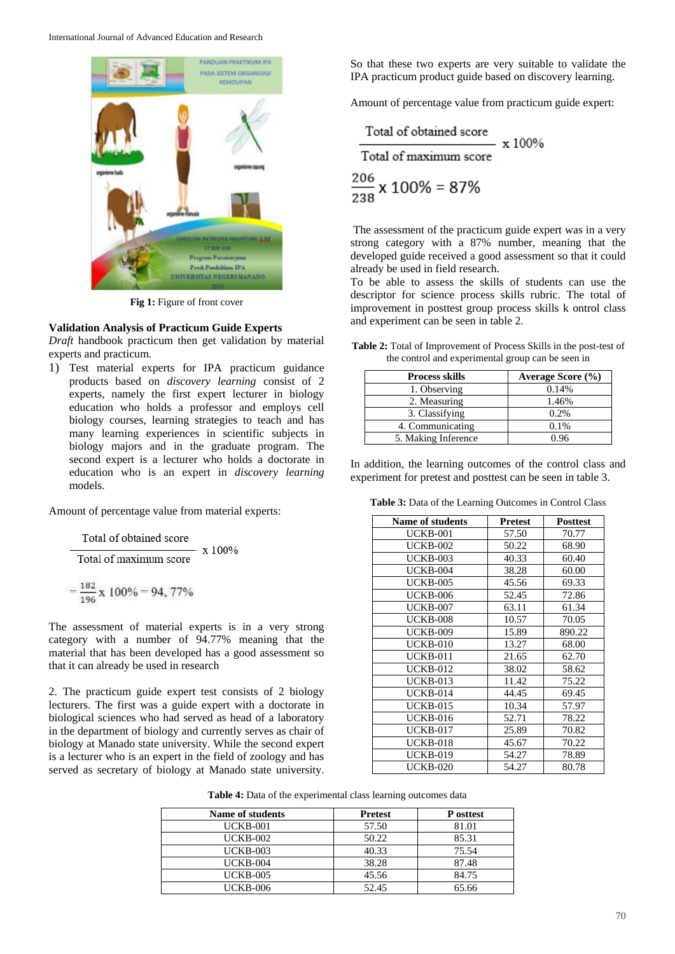

**Fig 1:** Figure of front cover

#### **Validation Analysis of Practicum Guide Experts**

*Draft* handbook practicum then get validation by material experts and practicum.

1) Test material experts for IPA practicum guidance products based on *discovery learning* consist of 2 experts, namely the first expert lecturer in biology education who holds a professor and employs cell biology courses, learning strategies to teach and has many learning experiences in scientific subjects in biology majors and in the graduate program. The second expert is a lecturer who holds a doctorate in education who is an expert in *discovery learning* models.

Amount of percentage value from material experts:

Total of obtained score x 100% Total of maximum score

$$
=\frac{182}{196}\,x\,\,100\% = 94,\,77\%
$$

The assessment of material experts is in a very strong category with a number of 94.77% meaning that the material that has been developed has a good assessment so that it can already be used in research

2. The practicum guide expert test consists of 2 biology lecturers. The first was a guide expert with a doctorate in biological sciences who had served as head of a laboratory in the department of biology and currently serves as chair of biology at Manado state university. While the second expert is a lecturer who is an expert in the field of zoology and has served as secretary of biology at Manado state university.

So that these two experts are very suitable to validate the IPA practicum product guide based on discovery learning.

Amount of percentage value from practicum guide expert:

Total of obtained score  
Total of maximum score  

$$
\frac{206}{238} \times 100\% = 87\%
$$

The assessment of the practicum guide expert was in a very strong category with a 87% number, meaning that the developed guide received a good assessment so that it could already be used in field research.

To be able to assess the skills of students can use the descriptor for science process skills rubric. The total of improvement in posttest group process skills k ontrol class and experiment can be seen in table 2.

**Table 2:** Total of Improvement of Process Skills in the post-test of the control and experimental group can be seen in

| <b>Process skills</b> | Average Score (%) |
|-----------------------|-------------------|
| 1. Observing          | 0.14%             |
| 2. Measuring          | 1.46%             |
| 3. Classifying        | $0.2\%$           |
| 4. Communicating      | 0.1%              |
| 5. Making Inference   | 0.96              |

In addition, the learning outcomes of the control class and experiment for pretest and posttest can be seen in table 3.

**Table 3:** Data of the Learning Outcomes in Control Class

| <b>Name of students</b> | <b>Pretest</b> | <b>Posttest</b> |
|-------------------------|----------------|-----------------|
| UCKB-001                | 57.50          | 70.77           |
| <b>UCKB-002</b>         | 50.22          | 68.90           |
| <b>UCKB-003</b>         | 40.33          | 60.40           |
| <b>UCKB-004</b>         | 38.28          | 60.00           |
| <b>UCKB-005</b>         | 45.56          | 69.33           |
| <b>UCKB-006</b>         | 52.45          | 72.86           |
| <b>UCKB-007</b>         | 63.11          | 61.34           |
| UCKB-008                | 10.57          | 70.05           |
| <b>UCKB-009</b>         | 15.89          | 890.22          |
| <b>UCKB-010</b>         | 13.27          | 68.00           |
| UCKB-011                | 21.65          | 62.70           |
| <b>UCKB-012</b>         | 38.02          | 58.62           |
| <b>UCKB-013</b>         | 11.42          | 75.22           |
| <b>UCKB-014</b>         | 44.45          | 69.45           |
| <b>UCKB-015</b>         | 10.34          | 57.97           |
| <b>UCKB-016</b>         | 52.71          | 78.22           |
| <b>UCKB-017</b>         | 25.89          | 70.82           |
| UCKB-018                | 45.67          | 70.22           |
| <b>UCKB-019</b>         | 54.27          | 78.89           |
| <b>UCKB-020</b>         | 54.27          | 80.78           |

**Table 4:** Data of the experimental class learning outcomes data

| Name of students | <b>Pretest</b> | P osttest |
|------------------|----------------|-----------|
| <b>UCKB-001</b>  | 57.50          | 81.01     |
| <b>UCKB-002</b>  | 50.22          | 85.31     |
| <b>UCKB-003</b>  | 40.33          | 75.54     |
| <b>UCKB-004</b>  | 38.28          | 87.48     |
| <b>UCKB-005</b>  | 45.56          | 84.75     |
| <b>UCKB-006</b>  | 52.45          | 65.66     |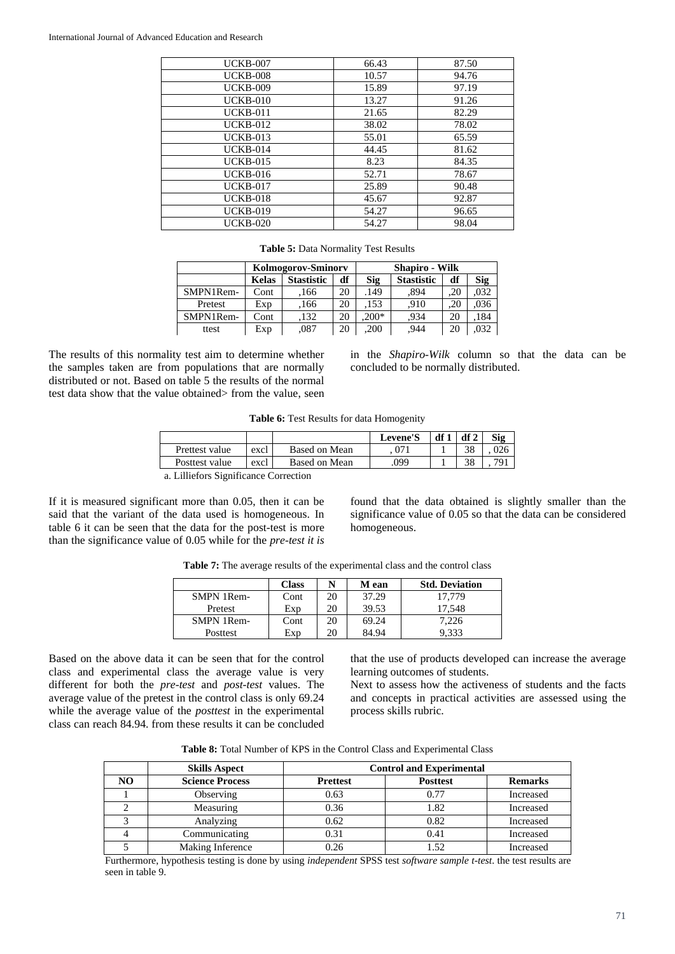| <b>UCKB-007</b> | 66.43 | 87.50 |
|-----------------|-------|-------|
| <b>UCKB-008</b> | 10.57 | 94.76 |
| <b>UCKB-009</b> | 15.89 | 97.19 |
| <b>UCKB-010</b> | 13.27 | 91.26 |
| <b>UCKB-011</b> | 21.65 | 82.29 |
| <b>UCKB-012</b> | 38.02 | 78.02 |
| <b>UCKB-013</b> | 55.01 | 65.59 |
| <b>UCKB-014</b> | 44.45 | 81.62 |
| <b>UCKB-015</b> | 8.23  | 84.35 |
| <b>UCKB-016</b> | 52.71 | 78.67 |
| <b>UCKB-017</b> | 25.89 | 90.48 |
| <b>UCKB-018</b> | 45.67 | 92.87 |
| <b>UCKB-019</b> | 54.27 | 96.65 |
| <b>UCKB-020</b> | 54.27 | 98.04 |
|                 |       |       |

**Table 5:** Data Normality Test Results

|           | <b>Kolmogorov-Sminory</b>        |      |    | <b>Shapiro - Wilk</b> |                   |     |      |
|-----------|----------------------------------|------|----|-----------------------|-------------------|-----|------|
|           | df<br><b>Stastistic</b><br>Kelas |      |    | <b>Sig</b>            | <b>Stastistic</b> | df  | Sig  |
| SMPN1Rem- | Cont                             | 166  | 20 | 149                   | .894              | .20 | .032 |
| Pretest   | Exp                              | 166  | 20 | 153                   | .910              | .20 | .036 |
| SMPN1Rem- | Cont                             | 132  | 20 | $200*$                | 934               | 20  | .184 |
| ttest     | Exp                              | .087 | 20 | .200                  | .944              | 20  | .032 |

The results of this normality test aim to determine whether the samples taken are from populations that are normally distributed or not. Based on table 5 the results of the normal test data show that the value obtained> from the value, seen in the *Shapiro-Wilk* column so that the data can be concluded to be normally distributed.

**Table 6:** Test Results for data Homogenity

|                                                              |      |               | Levene'S | df1 df2 |    | Sig |  |
|--------------------------------------------------------------|------|---------------|----------|---------|----|-----|--|
| Prettest value                                               | excl | Based on Mean |          |         | 38 | 026 |  |
| 38<br>791<br>.099<br>Based on Mean<br>Posttest value<br>excl |      |               |          |         |    |     |  |
| a Lilliefors Significance Correction                         |      |               |          |         |    |     |  |

a. Lilliefors Significance Correction

If it is measured significant more than 0.05, then it can be said that the variant of the data used is homogeneous. In table 6 it can be seen that the data for the post-test is more than the significance value of 0.05 while for the *pre-test it is*

found that the data obtained is slightly smaller than the significance value of 0.05 so that the data can be considered homogeneous.

|  |  |  |  |  | Table 7: The average results of the experimental class and the control class |
|--|--|--|--|--|------------------------------------------------------------------------------|
|--|--|--|--|--|------------------------------------------------------------------------------|

|            | <b>Class</b> | N  | M ean | <b>Std. Deviation</b> |
|------------|--------------|----|-------|-----------------------|
| SMPN 1Rem- | Cont         | 20 | 37.29 | 17.779                |
| Pretest    | Exp          | 20 | 39.53 | 17.548                |
| SMPN 1Rem- | Cont         | 20 | 69.24 | 7.226                 |
| Posttest   | Exp          | 20 | 84.94 | 9.333                 |

Based on the above data it can be seen that for the control class and experimental class the average value is very different for both the *pre-test* and *post-test* values. The average value of the pretest in the control class is only 69.24 while the average value of the *posttest* in the experimental class can reach 84.94. from these results it can be concluded that the use of products developed can increase the average learning outcomes of students.

Next to assess how the activeness of students and the facts and concepts in practical activities are assessed using the process skills rubric.

| <b>Table 8:</b> Total Number of KPS in the Control Class and Experimental Class |
|---------------------------------------------------------------------------------|
|---------------------------------------------------------------------------------|

|    | <b>Skills Aspect</b>   | <b>Control and Experimental</b>                      |      |           |  |  |  |
|----|------------------------|------------------------------------------------------|------|-----------|--|--|--|
| NO | <b>Science Process</b> | <b>Posttest</b><br><b>Remarks</b><br><b>Prettest</b> |      |           |  |  |  |
|    | Observing              | 0.63                                                 | 0.77 | Increased |  |  |  |
|    | Measuring              | 0.36                                                 | 1.82 | Increased |  |  |  |
|    | Analyzing              | 0.62                                                 | 0.82 | Increased |  |  |  |
|    | Communicating          | 0.31                                                 | 0.41 | Increased |  |  |  |
|    | Making Inference       | 0.26                                                 | 1.52 | Increased |  |  |  |

Furthermore, hypothesis testing is done by using *independent* SPSS test *software sample t-test*. the test results are seen in table 9.